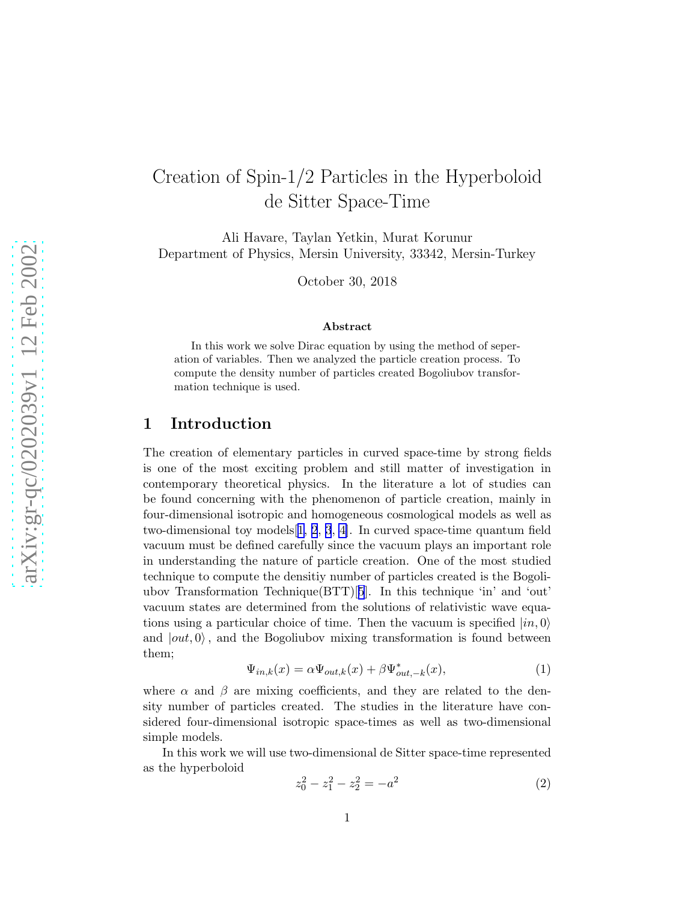# Creation of Spin-1/2 Particles in the Hyperboloid de Sitter Space-Time

Ali Havare, Taylan Yetkin, Murat Korunur Department of Physics, Mersin University, 33342, Mersin-Turkey

October 30, 2018

#### Abstract

In this work we solve Dirac equation by using the method of seperation of variables. Then we analyzed the particle creation process. To compute the density number of particles created Bogoliubov transformation technique is used.

#### 1 Introduction

The creation of elementary particles in curved space-time by strong fields is one of the most exciting problem and still matter of investigation in contemporary theoretical physics. In the literature a lot of studies can be found concerning with the phenomenon of particle creation, mainly in four-dimensional isotropic and homogeneous cosmological models as well as two-dimensional toy models[[1](#page-4-0), [2](#page-4-0), [3](#page-4-0), [4\]](#page-4-0). In curved space-time quantum field vacuum must be defined carefully since the vacuum plays an important role in understanding the nature of particle creation. One of the most studied technique to compute the densitiy number of particles created is the Bogoliubov Transformation Technique(BTT)[[5](#page-4-0)]. In this technique 'in' and 'out' vacuum states are determined from the solutions of relativistic wave equations using a particular choice of time. Then the vacuum is specified  $|in, 0\rangle$ and  $|out, 0\rangle$ , and the Bogoliubov mixing transformation is found between them;

$$
\Psi_{in,k}(x) = \alpha \Psi_{out,k}(x) + \beta \Psi_{out,-k}^*(x),\tag{1}
$$

where  $\alpha$  and  $\beta$  are mixing coefficients, and they are related to the density number of particles created. The studies in the literature have considered four-dimensional isotropic space-times as well as two-dimensional simple models.

In this work we will use two-dimensional de Sitter space-time represented as the hyperboloid

$$
z_0^2 - z_1^2 - z_2^2 = -a^2 \tag{2}
$$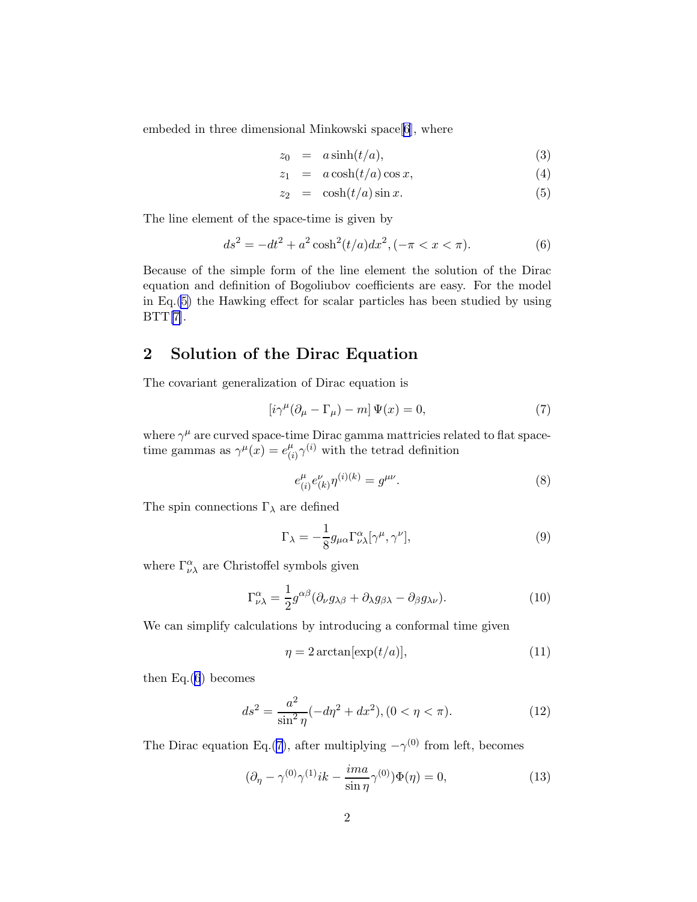<span id="page-1-0"></span>embeded in three dimensional Minkowski space[[6](#page-5-0)], where

$$
z_0 = a \sinh(t/a), \tag{3}
$$

$$
z_1 = a \cosh(t/a) \cos x, \tag{4}
$$

$$
z_2 = \cosh(t/a)\sin x. \tag{5}
$$

The line element of the space-time is given by

$$
ds^{2} = -dt^{2} + a^{2} \cosh^{2}(t/a) dx^{2}, (-\pi < x < \pi).
$$
 (6)

Because of the simple form of the line element the solution of the Dirac equation and definition of Bogoliubov coefficients are easy. For the model in Eq.(5) the Hawking effect for scalar particles has been studied by using  $BTT[7]$  $BTT[7]$ .

# 2 Solution of the Dirac Equation

The covariant generalization of Dirac equation is

$$
\left[i\gamma^{\mu}(\partial_{\mu} - \Gamma_{\mu}) - m\right]\Psi(x) = 0, \tag{7}
$$

where  $\gamma^{\mu}$  are curved space-time Dirac gamma mattricies related to flat spacetime gammas as  $\gamma^{\mu}(x) = e^{\mu}_{\mu}$  $\mu_{(i)}^{\mu} \gamma^{(i)}$  with the tetrad definition

$$
e_{(i)}^{\mu}e_{(k)}^{\nu}\eta^{(i)(k)} = g^{\mu\nu}.
$$
 (8)

The spin connections  $\Gamma_{\lambda}$  are defined

$$
\Gamma_{\lambda} = -\frac{1}{8} g_{\mu\alpha} \Gamma^{\alpha}_{\nu\lambda} [\gamma^{\mu}, \gamma^{\nu}], \qquad (9)
$$

where  $\Gamma_{\nu\lambda}^{\alpha}$  are Christoffel symbols given

$$
\Gamma^{\alpha}_{\nu\lambda} = \frac{1}{2} g^{\alpha\beta} (\partial_{\nu} g_{\lambda\beta} + \partial_{\lambda} g_{\beta\lambda} - \partial_{\beta} g_{\lambda\nu}). \tag{10}
$$

We can simplify calculations by introducing a conformal time given

$$
\eta = 2 \arctan[\exp(t/a)],\tag{11}
$$

then  $Eq.(6)$  becomes

$$
ds^{2} = \frac{a^{2}}{\sin^{2} \eta} (-d\eta^{2} + dx^{2}), (0 < \eta < \pi). \tag{12}
$$

The Dirac equation Eq.(7), after multiplying  $-\gamma^{(0)}$  from left, becomes

$$
(\partial_{\eta} - \gamma^{(0)}\gamma^{(1)}ik - \frac{ima}{\sin \eta}\gamma^{(0)})\Phi(\eta) = 0,
$$
\n(13)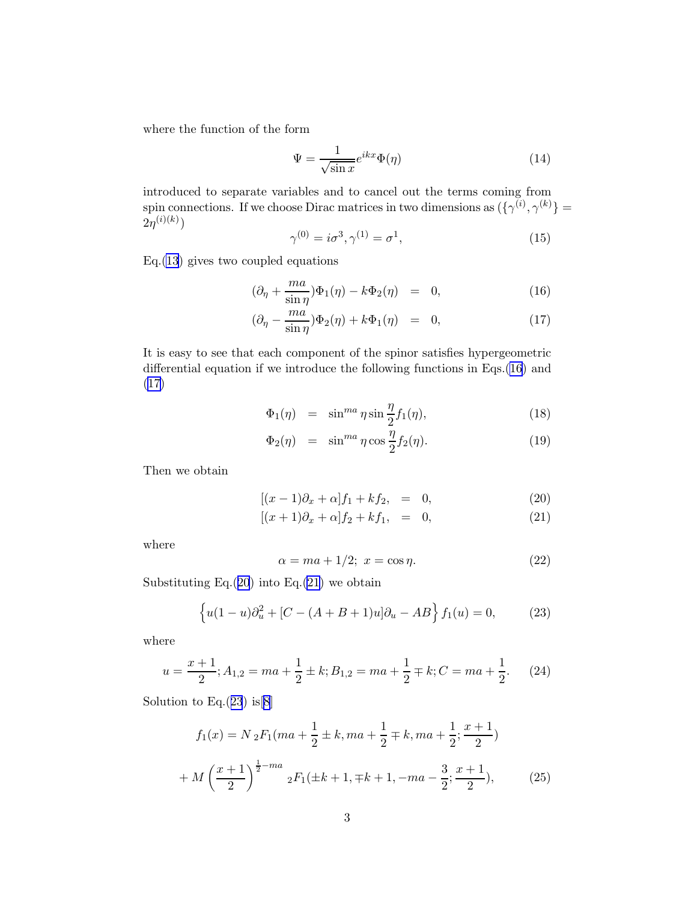where the function of the form

$$
\Psi = \frac{1}{\sqrt{\sin x}} e^{ikx} \Phi(\eta) \tag{14}
$$

introduced to separate variables and to cancel out the terms coming from spin connections. If we choose Dirac matrices in two dimensions as  $({\{\gamma^{(i)}, \gamma^{(k)}\}})$  $2\eta^{(i)(k)})$ 

$$
\gamma^{(0)} = i\sigma^3, \gamma^{(1)} = \sigma^1,\tag{15}
$$

Eq.[\(13\)](#page-1-0) gives two coupled equations

$$
(\partial_{\eta} + \frac{ma}{\sin \eta})\Phi_1(\eta) - k\Phi_2(\eta) = 0, \qquad (16)
$$

$$
(\partial_{\eta} - \frac{ma}{\sin \eta})\Phi_2(\eta) + k\Phi_1(\eta) = 0, \qquad (17)
$$

It is easy to see that each component of the spinor satisfies hypergeometric differential equation if we introduce the following functions in Eqs.(16) and (17)

$$
\Phi_1(\eta) = \sin^{ma} \eta \sin \frac{\eta}{2} f_1(\eta), \qquad (18)
$$

$$
\Phi_2(\eta) = \sin^{ma} \eta \cos \frac{\eta}{2} f_2(\eta). \tag{19}
$$

Then we obtain

$$
[(x-1)\partial_x + \alpha]f_1 + kf_2, = 0,
$$
\n(20)

$$
[(x+1)\partial_x + \alpha]f_2 + kf_1, = 0,
$$
\n(21)

where

$$
\alpha = ma + 1/2; \ x = \cos \eta. \tag{22}
$$

Substituting Eq. $(20)$  into Eq. $(21)$  we obtain

$$
\{u(1-u)\partial_u^2 + [C - (A+B+1)u]\partial_u - AB\} f_1(u) = 0,
$$
 (23)

where

$$
u = \frac{x+1}{2}; A_{1,2} = ma + \frac{1}{2} \pm k; B_{1,2} = ma + \frac{1}{2} \mp k; C = ma + \frac{1}{2}.
$$
 (24)

Solution to Eq. $(23)$  is [[8](#page-5-0)]

$$
f_1(x) = N_2 F_1(ma + \frac{1}{2} \pm k, ma + \frac{1}{2} \mp k, ma + \frac{1}{2}; \frac{x+1}{2})
$$
  
+ 
$$
M\left(\frac{x+1}{2}\right)^{\frac{1}{2}-ma} {}_2F_1(\pm k+1, \mp k+1, -ma - \frac{3}{2}; \frac{x+1}{2}),
$$
 (25)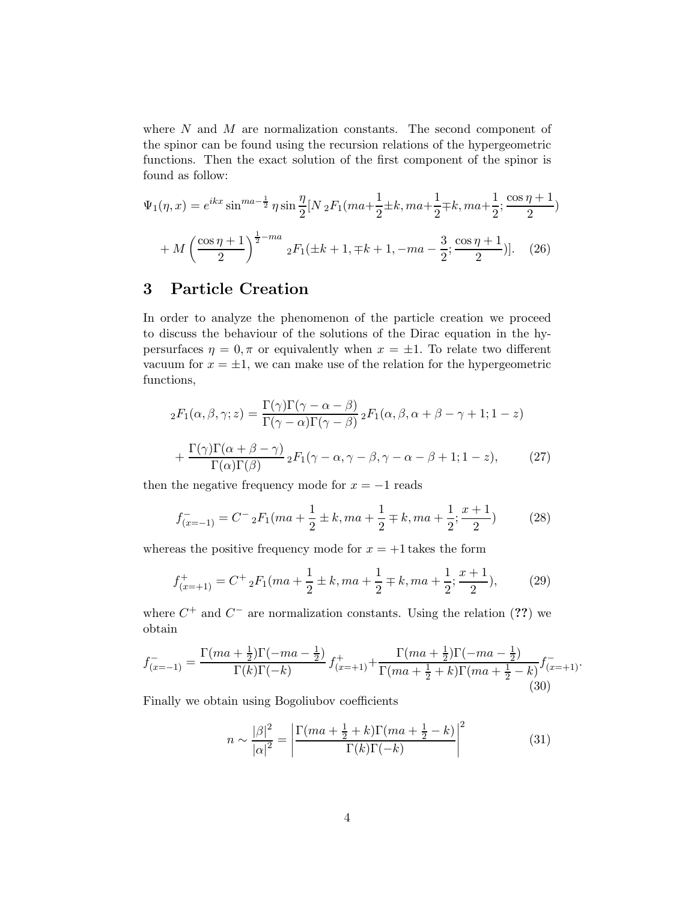<span id="page-3-0"></span>where N and M are normalization constants. The second component of the spinor can be found using the recursion relations of the hypergeometric functions. Then the exact solution of the first component of the spinor is found as follow:

$$
\Psi_1(\eta, x) = e^{ikx} \sin^{ma - \frac{1}{2}} \eta \sin \frac{\eta}{2} [N_2 F_1(ma + \frac{1}{2} \pm k, ma + \frac{1}{2} \mp k, ma + \frac{1}{2}; \frac{\cos \eta + 1}{2})
$$

$$
+ M \left(\frac{\cos \eta + 1}{2}\right)^{\frac{1}{2} - ma} {}_2F_1(\pm k + 1, \mp k + 1, -ma - \frac{3}{2}; \frac{\cos \eta + 1}{2})]. \tag{26}
$$

# 3 Particle Creation

In order to analyze the phenomenon of the particle creation we proceed to discuss the behaviour of the solutions of the Dirac equation in the hypersurfaces  $\eta = 0, \pi$  or equivalently when  $x = \pm 1$ . To relate two different vacuum for  $x = \pm 1$ , we can make use of the relation for the hypergeometric functions,

$$
{}_{2}F_{1}(\alpha,\beta,\gamma;z) = \frac{\Gamma(\gamma)\Gamma(\gamma-\alpha-\beta)}{\Gamma(\gamma-\alpha)\Gamma(\gamma-\beta)} {}_{2}F_{1}(\alpha,\beta,\alpha+\beta-\gamma+1;1-z)
$$

$$
+ \frac{\Gamma(\gamma)\Gamma(\alpha+\beta-\gamma)}{\Gamma(\alpha)\Gamma(\beta)} {}_{2}F_{1}(\gamma-\alpha,\gamma-\beta,\gamma-\alpha-\beta+1;1-z), \qquad (27)
$$

then the negative frequency mode for  $x = -1$  reads

$$
f_{(x=-1)}^- = C^- \, {}_2F_1(ma + \frac{1}{2} \pm k, ma + \frac{1}{2} \mp k, ma + \frac{1}{2}; \frac{x+1}{2})
$$
 (28)

whereas the positive frequency mode for  $x = +1$  takes the form

$$
f_{(x=+1)}^{+} = C^{+} {}_{2}F_{1}(ma + \frac{1}{2} \pm k, ma + \frac{1}{2} \mp k, ma + \frac{1}{2}; \frac{x+1}{2}),
$$
 (29)

where  $C^+$  and  $C^-$  are normalization constants. Using the relation  $(??)$  we obtain

$$
f_{(x=-1)}^{-} = \frac{\Gamma(ma + \frac{1}{2})\Gamma(-ma - \frac{1}{2})}{\Gamma(k)\Gamma(-k)} f_{(x=+1)}^{+} + \frac{\Gamma(ma + \frac{1}{2})\Gamma(-ma - \frac{1}{2})}{\Gamma(ma + \frac{1}{2} + k)\Gamma(ma + \frac{1}{2} - k)} f_{(x=+1)}^{-}.
$$
\n(30)

Finally we obtain using Bogoliubov coefficients

$$
n \sim \frac{|\beta|^2}{|\alpha|^2} = \left| \frac{\Gamma(ma + \frac{1}{2} + k)\Gamma(ma + \frac{1}{2} - k)}{\Gamma(k)\Gamma(-k)} \right|^2 \tag{31}
$$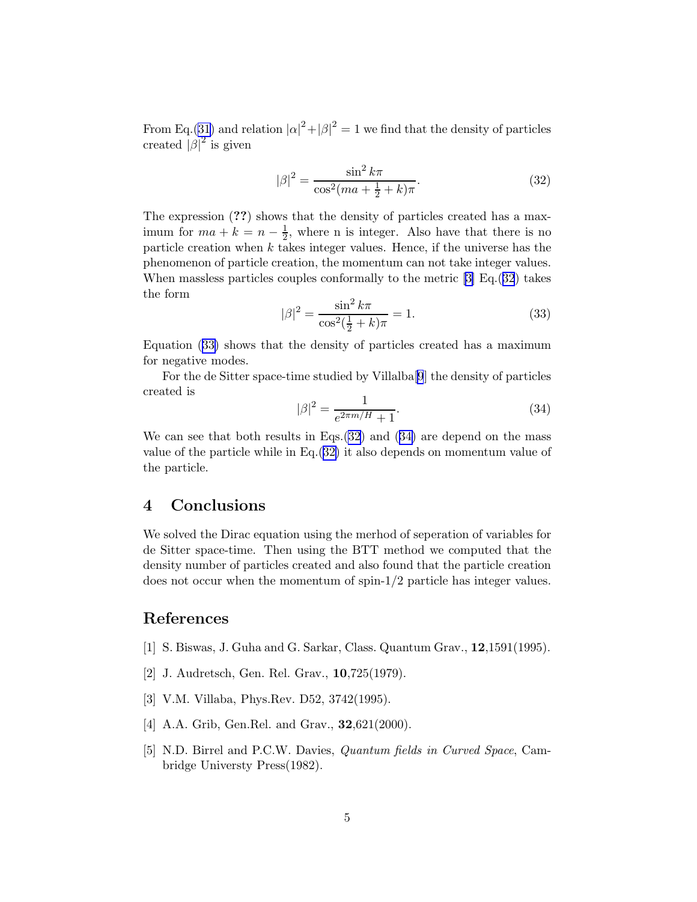<span id="page-4-0"></span>From Eq.[\(31\)](#page-3-0) and relation  $|\alpha|^2 + |\beta|^2 = 1$  we find that the density of particles created  $|\beta|^2$  is given

$$
|\beta|^2 = \frac{\sin^2 k\pi}{\cos^2(ma + \frac{1}{2} + k)\pi}.
$$
 (32)

The expression (??) shows that the density of particles created has a maximum for  $ma + k = n - \frac{1}{2}$  $\frac{1}{2}$ , where n is integer. Also have that there is no particle creation when  $k$  takes integer values. Hence, if the universe has the phenomenon of particle creation, the momentum can not take integer values. When massless particles couples conformally to the metric [3] Eq.(32) takes the form

$$
|\beta|^2 = \frac{\sin^2 k\pi}{\cos^2(\frac{1}{2} + k)\pi} = 1.
$$
 (33)

Equation (33) shows that the density of particles created has a maximum for negative modes.

For the de Sitter space-time studied by Villalba[[9](#page-5-0)] the density of particles created is

$$
|\beta|^2 = \frac{1}{e^{2\pi m/H} + 1}.\tag{34}
$$

We can see that both results in Eqs.(32) and (34) are depend on the mass value of the particle while in Eq.(32) it also depends on momentum value of the particle.

## 4 Conclusions

We solved the Dirac equation using the merhod of seperation of variables for de Sitter space-time. Then using the BTT method we computed that the density number of particles created and also found that the particle creation does not occur when the momentum of spin-1/2 particle has integer values.

## References

- [1] S. Biswas, J. Guha and G. Sarkar, Class. Quantum Grav., 12,1591(1995).
- [2] J. Audretsch, Gen. Rel. Grav., 10,725(1979).
- [3] V.M. Villaba, Phys.Rev. D52, 3742(1995).
- [4] A.A. Grib, Gen.Rel. and Grav., **32**,621(2000).
- [5] N.D. Birrel and P.C.W. Davies, Quantum fields in Curved Space, Cambridge Universty Press(1982).